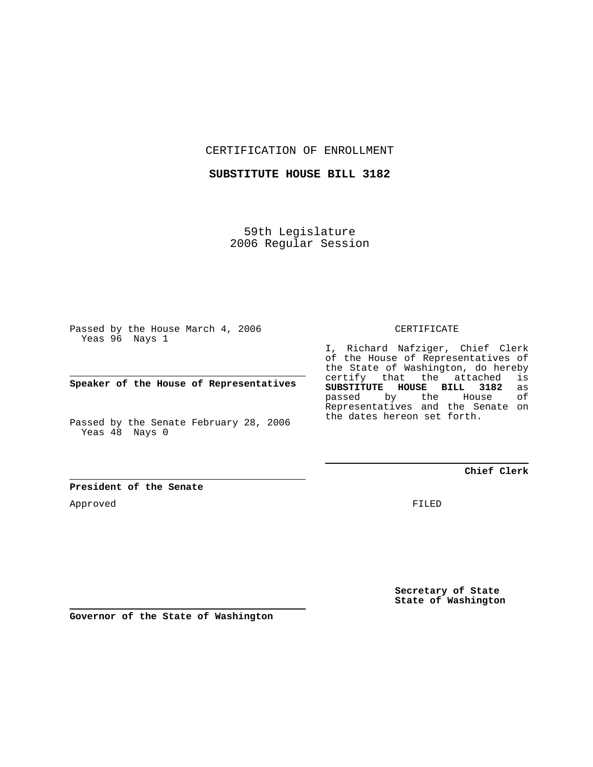CERTIFICATION OF ENROLLMENT

**SUBSTITUTE HOUSE BILL 3182**

59th Legislature 2006 Regular Session

Passed by the House March 4, 2006 Yeas 96 Nays 1

**Speaker of the House of Representatives**

Passed by the Senate February 28, 2006 Yeas 48 Nays 0

**President of the Senate**

Approved

CERTIFICATE

I, Richard Nafziger, Chief Clerk of the House of Representatives of the State of Washington, do hereby certify that the attached is **SUBSTITUTE HOUSE BILL 3182** as passed by the House Representatives and the Senate on the dates hereon set forth.

**Chief Clerk**

FILED

**Secretary of State State of Washington**

**Governor of the State of Washington**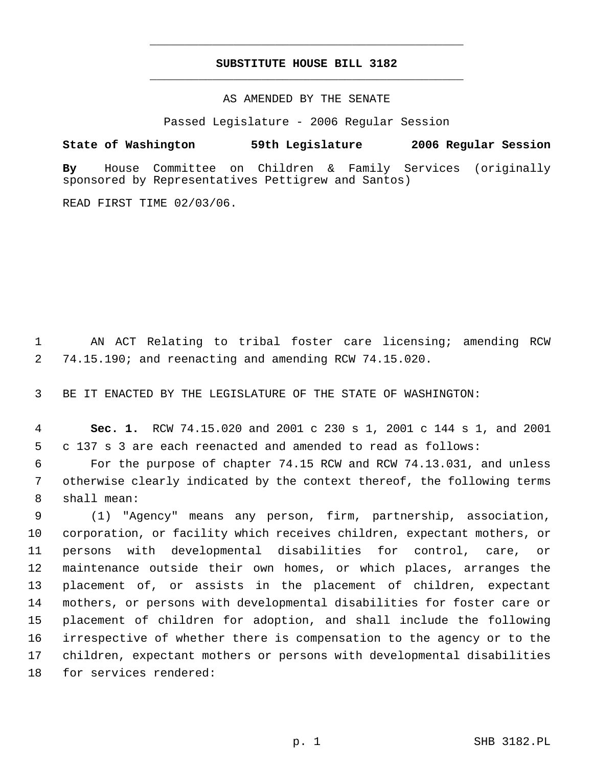## **SUBSTITUTE HOUSE BILL 3182** \_\_\_\_\_\_\_\_\_\_\_\_\_\_\_\_\_\_\_\_\_\_\_\_\_\_\_\_\_\_\_\_\_\_\_\_\_\_\_\_\_\_\_\_\_

\_\_\_\_\_\_\_\_\_\_\_\_\_\_\_\_\_\_\_\_\_\_\_\_\_\_\_\_\_\_\_\_\_\_\_\_\_\_\_\_\_\_\_\_\_

AS AMENDED BY THE SENATE

Passed Legislature - 2006 Regular Session

**State of Washington 59th Legislature 2006 Regular Session**

**By** House Committee on Children & Family Services (originally sponsored by Representatives Pettigrew and Santos)

READ FIRST TIME 02/03/06.

 AN ACT Relating to tribal foster care licensing; amending RCW 74.15.190; and reenacting and amending RCW 74.15.020.

BE IT ENACTED BY THE LEGISLATURE OF THE STATE OF WASHINGTON:

 **Sec. 1.** RCW 74.15.020 and 2001 c 230 s 1, 2001 c 144 s 1, and 2001 c 137 s 3 are each reenacted and amended to read as follows:

 For the purpose of chapter 74.15 RCW and RCW 74.13.031, and unless otherwise clearly indicated by the context thereof, the following terms shall mean:

 (1) "Agency" means any person, firm, partnership, association, corporation, or facility which receives children, expectant mothers, or persons with developmental disabilities for control, care, or maintenance outside their own homes, or which places, arranges the placement of, or assists in the placement of children, expectant mothers, or persons with developmental disabilities for foster care or placement of children for adoption, and shall include the following irrespective of whether there is compensation to the agency or to the children, expectant mothers or persons with developmental disabilities for services rendered: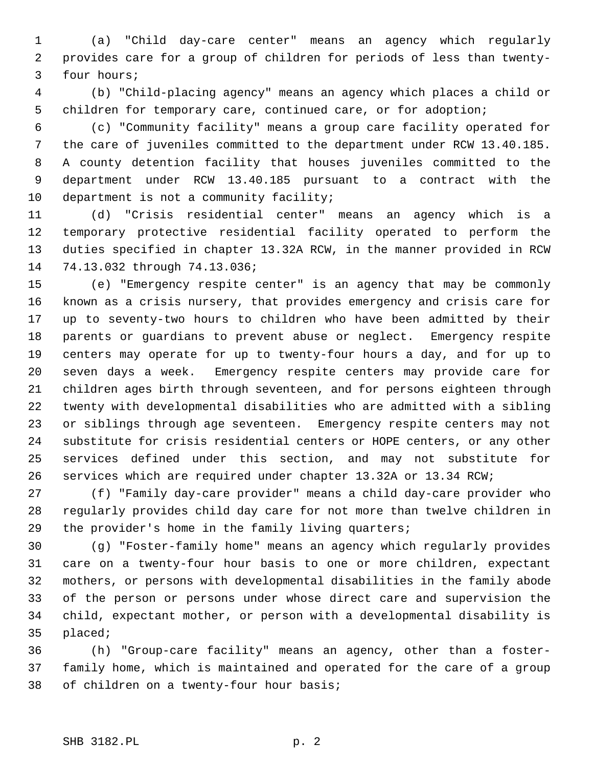(a) "Child day-care center" means an agency which regularly provides care for a group of children for periods of less than twenty- four hours;

 (b) "Child-placing agency" means an agency which places a child or children for temporary care, continued care, or for adoption;

 (c) "Community facility" means a group care facility operated for the care of juveniles committed to the department under RCW 13.40.185. A county detention facility that houses juveniles committed to the department under RCW 13.40.185 pursuant to a contract with the department is not a community facility;

 (d) "Crisis residential center" means an agency which is a temporary protective residential facility operated to perform the duties specified in chapter 13.32A RCW, in the manner provided in RCW 74.13.032 through 74.13.036;

 (e) "Emergency respite center" is an agency that may be commonly known as a crisis nursery, that provides emergency and crisis care for up to seventy-two hours to children who have been admitted by their parents or guardians to prevent abuse or neglect. Emergency respite centers may operate for up to twenty-four hours a day, and for up to seven days a week. Emergency respite centers may provide care for children ages birth through seventeen, and for persons eighteen through twenty with developmental disabilities who are admitted with a sibling or siblings through age seventeen. Emergency respite centers may not substitute for crisis residential centers or HOPE centers, or any other services defined under this section, and may not substitute for services which are required under chapter 13.32A or 13.34 RCW;

 (f) "Family day-care provider" means a child day-care provider who regularly provides child day care for not more than twelve children in the provider's home in the family living quarters;

 (g) "Foster-family home" means an agency which regularly provides care on a twenty-four hour basis to one or more children, expectant mothers, or persons with developmental disabilities in the family abode of the person or persons under whose direct care and supervision the child, expectant mother, or person with a developmental disability is placed;

 (h) "Group-care facility" means an agency, other than a foster- family home, which is maintained and operated for the care of a group of children on a twenty-four hour basis;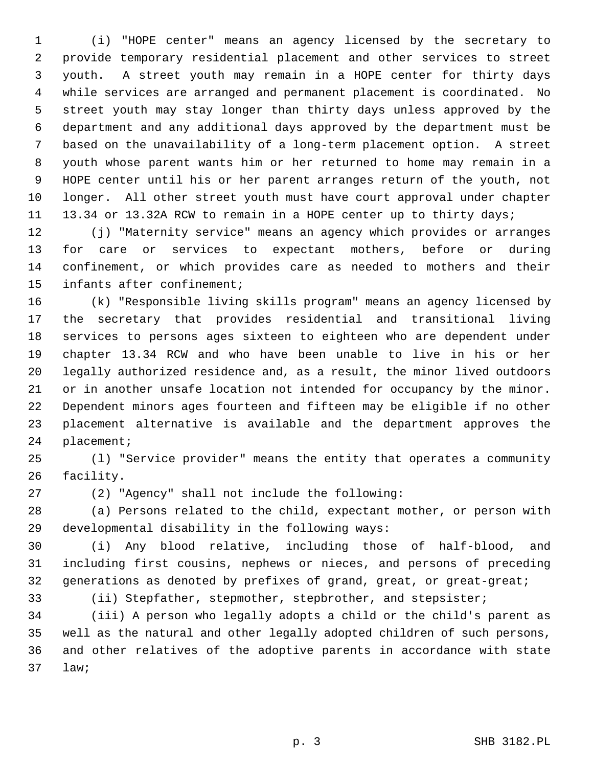(i) "HOPE center" means an agency licensed by the secretary to provide temporary residential placement and other services to street youth. A street youth may remain in a HOPE center for thirty days while services are arranged and permanent placement is coordinated. No street youth may stay longer than thirty days unless approved by the department and any additional days approved by the department must be based on the unavailability of a long-term placement option. A street youth whose parent wants him or her returned to home may remain in a HOPE center until his or her parent arranges return of the youth, not longer. All other street youth must have court approval under chapter 13.34 or 13.32A RCW to remain in a HOPE center up to thirty days;

 (j) "Maternity service" means an agency which provides or arranges for care or services to expectant mothers, before or during confinement, or which provides care as needed to mothers and their infants after confinement;

 (k) "Responsible living skills program" means an agency licensed by the secretary that provides residential and transitional living services to persons ages sixteen to eighteen who are dependent under chapter 13.34 RCW and who have been unable to live in his or her legally authorized residence and, as a result, the minor lived outdoors or in another unsafe location not intended for occupancy by the minor. Dependent minors ages fourteen and fifteen may be eligible if no other placement alternative is available and the department approves the placement;

 (l) "Service provider" means the entity that operates a community facility.

(2) "Agency" shall not include the following:

 (a) Persons related to the child, expectant mother, or person with developmental disability in the following ways:

 (i) Any blood relative, including those of half-blood, and including first cousins, nephews or nieces, and persons of preceding generations as denoted by prefixes of grand, great, or great-great;

(ii) Stepfather, stepmother, stepbrother, and stepsister;

 (iii) A person who legally adopts a child or the child's parent as well as the natural and other legally adopted children of such persons, and other relatives of the adoptive parents in accordance with state law;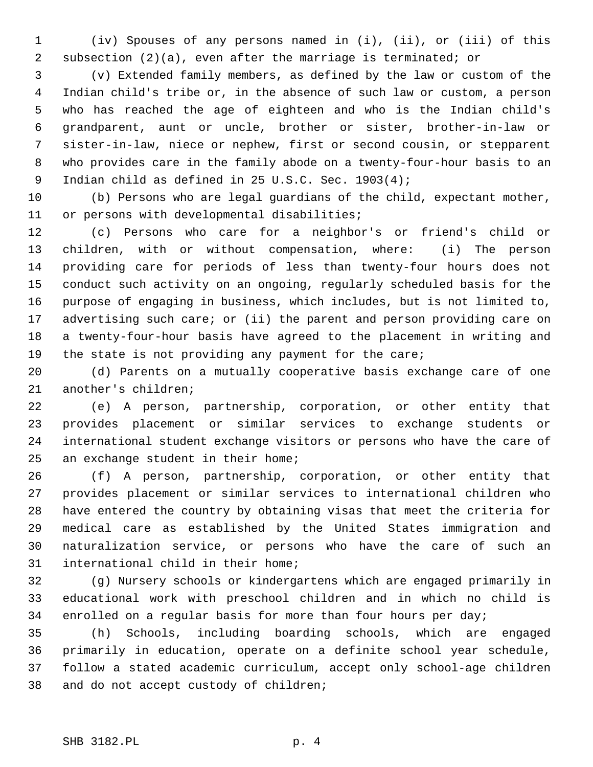(iv) Spouses of any persons named in (i), (ii), or (iii) of this subsection (2)(a), even after the marriage is terminated; or

 (v) Extended family members, as defined by the law or custom of the Indian child's tribe or, in the absence of such law or custom, a person who has reached the age of eighteen and who is the Indian child's grandparent, aunt or uncle, brother or sister, brother-in-law or sister-in-law, niece or nephew, first or second cousin, or stepparent who provides care in the family abode on a twenty-four-hour basis to an Indian child as defined in 25 U.S.C. Sec. 1903(4);

 (b) Persons who are legal guardians of the child, expectant mother, or persons with developmental disabilities;

 (c) Persons who care for a neighbor's or friend's child or children, with or without compensation, where: (i) The person providing care for periods of less than twenty-four hours does not conduct such activity on an ongoing, regularly scheduled basis for the purpose of engaging in business, which includes, but is not limited to, 17 advertising such care; or (ii) the parent and person providing care on a twenty-four-hour basis have agreed to the placement in writing and the state is not providing any payment for the care;

 (d) Parents on a mutually cooperative basis exchange care of one another's children;

 (e) A person, partnership, corporation, or other entity that provides placement or similar services to exchange students or international student exchange visitors or persons who have the care of an exchange student in their home;

 (f) A person, partnership, corporation, or other entity that provides placement or similar services to international children who have entered the country by obtaining visas that meet the criteria for medical care as established by the United States immigration and naturalization service, or persons who have the care of such an international child in their home;

 (g) Nursery schools or kindergartens which are engaged primarily in educational work with preschool children and in which no child is enrolled on a regular basis for more than four hours per day;

 (h) Schools, including boarding schools, which are engaged primarily in education, operate on a definite school year schedule, follow a stated academic curriculum, accept only school-age children and do not accept custody of children;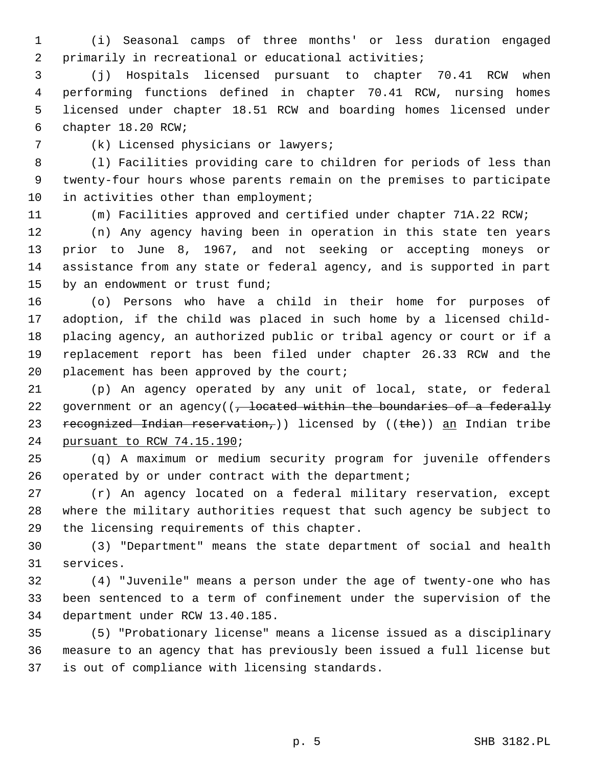(i) Seasonal camps of three months' or less duration engaged primarily in recreational or educational activities;

 (j) Hospitals licensed pursuant to chapter 70.41 RCW when performing functions defined in chapter 70.41 RCW, nursing homes licensed under chapter 18.51 RCW and boarding homes licensed under chapter 18.20 RCW;

(k) Licensed physicians or lawyers;

 (l) Facilities providing care to children for periods of less than twenty-four hours whose parents remain on the premises to participate 10 in activities other than employment;

(m) Facilities approved and certified under chapter 71A.22 RCW;

 (n) Any agency having been in operation in this state ten years prior to June 8, 1967, and not seeking or accepting moneys or assistance from any state or federal agency, and is supported in part by an endowment or trust fund;

 (o) Persons who have a child in their home for purposes of adoption, if the child was placed in such home by a licensed child- placing agency, an authorized public or tribal agency or court or if a replacement report has been filed under chapter 26.33 RCW and the 20 placement has been approved by the court;

 (p) An agency operated by any unit of local, state, or federal 22 government or an agency( $(-$  located within the boundaries of a federally 23 recognized Indian reservation, ) licensed by  $((the)$  an Indian tribe pursuant to RCW 74.15.190;

 (q) A maximum or medium security program for juvenile offenders operated by or under contract with the department;

 (r) An agency located on a federal military reservation, except where the military authorities request that such agency be subject to the licensing requirements of this chapter.

 (3) "Department" means the state department of social and health services.

 (4) "Juvenile" means a person under the age of twenty-one who has been sentenced to a term of confinement under the supervision of the department under RCW 13.40.185.

 (5) "Probationary license" means a license issued as a disciplinary measure to an agency that has previously been issued a full license but is out of compliance with licensing standards.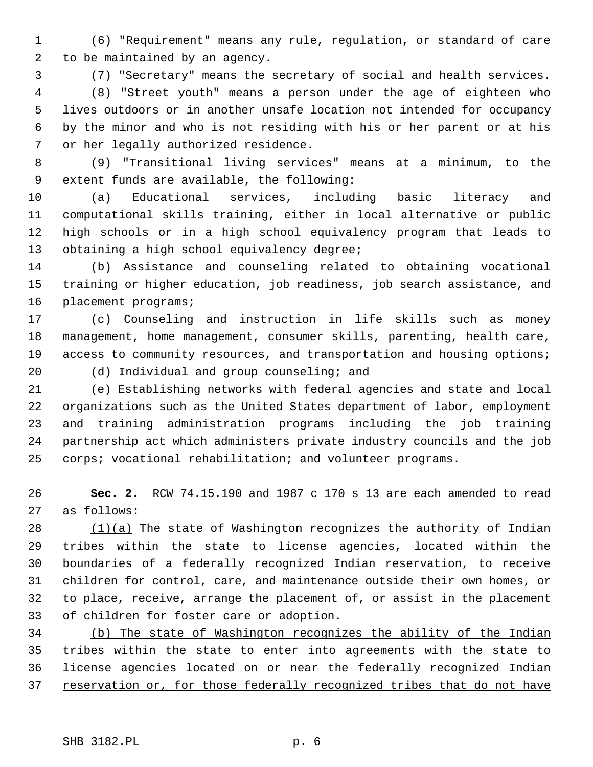(6) "Requirement" means any rule, regulation, or standard of care to be maintained by an agency.

(7) "Secretary" means the secretary of social and health services.

 (8) "Street youth" means a person under the age of eighteen who lives outdoors or in another unsafe location not intended for occupancy by the minor and who is not residing with his or her parent or at his or her legally authorized residence.

 (9) "Transitional living services" means at a minimum, to the extent funds are available, the following:

 (a) Educational services, including basic literacy and computational skills training, either in local alternative or public high schools or in a high school equivalency program that leads to 13 obtaining a high school equivalency degree;

 (b) Assistance and counseling related to obtaining vocational training or higher education, job readiness, job search assistance, and placement programs;

 (c) Counseling and instruction in life skills such as money management, home management, consumer skills, parenting, health care, 19 access to community resources, and transportation and housing options;

(d) Individual and group counseling; and

 (e) Establishing networks with federal agencies and state and local organizations such as the United States department of labor, employment and training administration programs including the job training partnership act which administers private industry councils and the job corps; vocational rehabilitation; and volunteer programs.

 **Sec. 2.** RCW 74.15.190 and 1987 c 170 s 13 are each amended to read as follows:

 (1)(a) The state of Washington recognizes the authority of Indian tribes within the state to license agencies, located within the boundaries of a federally recognized Indian reservation, to receive children for control, care, and maintenance outside their own homes, or to place, receive, arrange the placement of, or assist in the placement of children for foster care or adoption.

 (b) The state of Washington recognizes the ability of the Indian tribes within the state to enter into agreements with the state to license agencies located on or near the federally recognized Indian 37 reservation or, for those federally recognized tribes that do not have